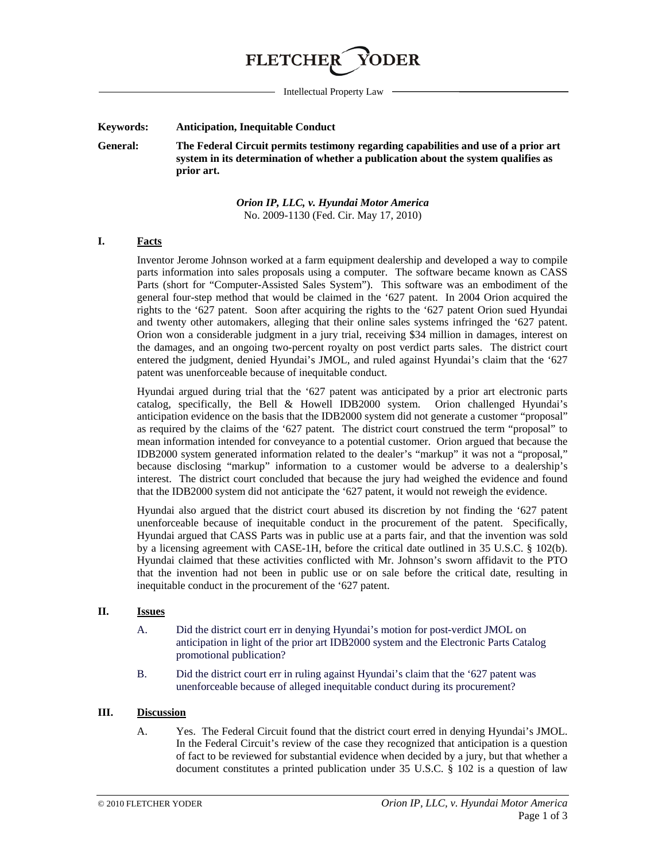

Intellectual Property Law

**Keywords: Anticipation, Inequitable Conduct**

<span id="page-0-0"></span>**General: The Federal Circuit permits testimony regarding capabilities and use of a prior art system in its determination of whether a publication about the system qualifies as prior art.** 

> *Orion IP, LLC, v. Hyundai Motor America* No. 2009-1130 (Fed. Cir. May 17, 2010)

## **I. Facts**

Inventor Jerome Johnson worked at a farm equipment dealership and developed a way to compile parts information into sales proposals using a computer. The software became known as CASS Parts (short for "Computer-Assisted Sales System"). This software was an embodiment of the general four-step method that would be claimed in the '627 patent. In 2004 Orion acquired the rights to the '627 patent. Soon after acquiring the rights to the '627 patent Orion sued Hyundai and twenty other automakers, alleging that their online sales systems infringed the '627 patent. Orion won a considerable judgment in a jury trial, receiving \$34 million in damages, interest on the damages, and an ongoing two-percent royalty on post verdict parts sales. The district court entered the judgment, denied Hyundai's JMOL, and ruled against Hyundai's claim that the '627 patent was unenforceable because of inequitable conduct.

Hyundai argued during trial that the '627 patent was anticipated by a prior art electronic parts catalog, specifically, the Bell & Howell IDB2000 system. Orion challenged Hyundai's anticipation evidence on the basis that the IDB2000 system did not generate a customer "proposal" as required by the claims of the '627 patent. The district court construed the term "proposal" to mean information intended for conveyance to a potential customer. Orion argued that because the IDB2000 system generated information related to the dealer's "markup" it was not a "proposal," because disclosing "markup" information to a customer would be adverse to a dealership's interest. The district court concluded that because the jury had weighed the evidence and found that the IDB2000 system did not anticipate the '627 patent, it would not reweigh the evidence.

Hyundai also argued that the district court abused its discretion by not finding the '627 patent unenforceable because of inequitable conduct in the procurement of the patent. Specifically, Hyundai argued that CASS Parts was in public use at a parts fair, and that the invention was sold by a licensing agreement with CASE-1H, before the critical date outlined in 35 U.S.C. § 102(b). Hyundai claimed that these activities conflicted with Mr. Johnson's sworn affidavit to the PTO that the invention had not been in public use or on sale before the critical date, resulting in inequitable conduct in the procurement of the '627 patent.

## **II. Issues**

- A. Did the district court err in denying Hyundai's motion for post-verdict JMOL on anticipation in light of the prior art IDB2000 system and the Electronic Parts Catalog promotional publication?
- B. Did the district court err in ruling against Hyundai's claim that the '627 patent was unenforceable because of alleged inequitable conduct during its procurement?

# **III. Discussion**

A. Yes. The Federal Circuit found that the district court erred in denying Hyundai's JMOL. In the Federal Circuit's review of the case they recognized that anticipation is a question of fact to be reviewed for substantial evidence when decided by a jury, but that whether a document constitutes a printed publication under 35 U.S.C. § 102 is a question of law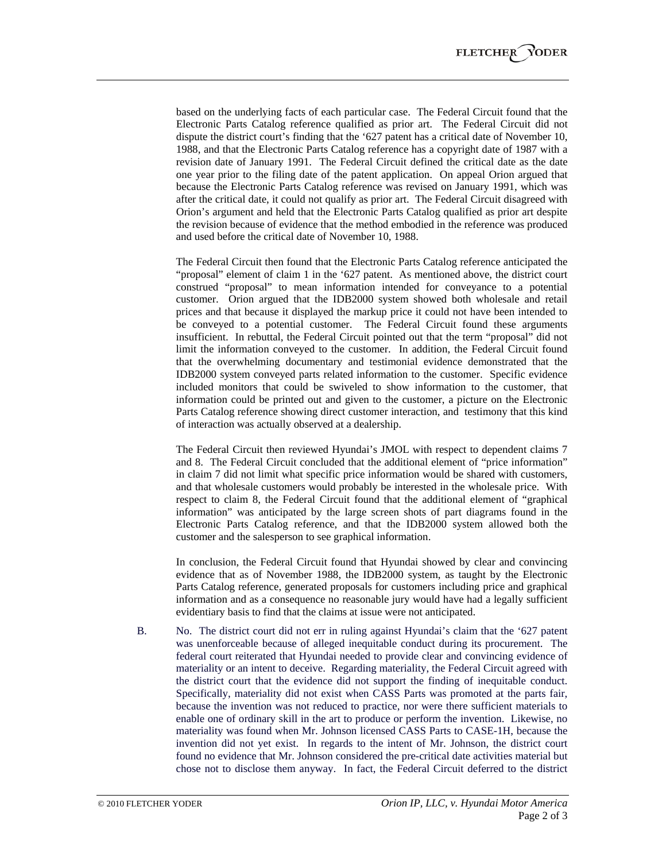based on the underlying facts of each particular case. The Federal Circuit found that the Electronic Parts Catalog reference qualified as prior art. The Federal Circuit did not dispute the district court's finding that the '627 patent has a critical date of November 10, 1988, and that the Electronic Parts Catalog reference has a copyright date of 1987 with a revision date of January 1991. The Federal Circuit defined the critical date as the date one year prior to the filing date of the patent application. On appeal Orion argued that because the Electronic Parts Catalog reference was revised on January 1991, which was after the critical date, it could not qualify as prior art. The Federal Circuit disagreed with Orion's argument and held that the Electronic Parts Catalog qualified as prior art despite the revision because of evidence that the method embodied in the reference was produced and used before the critical date of November 10, 1988.

The Federal Circuit then found that the Electronic Parts Catalog reference anticipated the "proposal" element of claim 1 in the '627 patent. As mentioned above, the district court construed "proposal" to mean information intended for conveyance to a potential customer. Orion argued that the IDB2000 system showed both wholesale and retail prices and that because it displayed the markup price it could not have been intended to be conveyed to a potential customer. The Federal Circuit found these arguments insufficient. In rebuttal, the Federal Circuit pointed out that the term "proposal" did not limit the information conveyed to the customer. In addition, the Federal Circuit found that the overwhelming documentary and testimonial evidence demonstrated that the IDB2000 system conveyed parts related information to the customer. Specific evidence included monitors that could be swiveled to show information to the customer, that information could be printed out and given to the customer, a picture on the Electronic Parts Catalog reference showing direct customer interaction, and testimony that this kind of interaction was actually observed at a dealership.

The Federal Circuit then reviewed Hyundai's JMOL with respect to dependent claims 7 and 8. The Federal Circuit concluded that the additional element of "price information" in claim 7 did not limit what specific price information would be shared with customers, and that wholesale customers would probably be interested in the wholesale price. With respect to claim 8, the Federal Circuit found that the additional element of "graphical information" was anticipated by the large screen shots of part diagrams found in the Electronic Parts Catalog reference, and that the IDB2000 system allowed both the customer and the salesperson to see graphical information.

In conclusion, the Federal Circuit found that Hyundai showed by clear and convincing evidence that as of November 1988, the IDB2000 system, as taught by the Electronic Parts Catalog reference, generated proposals for customers including price and graphical information and as a consequence no reasonable jury would have had a legally sufficient evidentiary basis to find that the claims at issue were not anticipated.

B. No. The district court did not err in ruling against Hyundai's claim that the '627 patent was unenforceable because of alleged inequitable conduct during its procurement. The federal court reiterated that Hyundai needed to provide clear and convincing evidence of materiality or an intent to deceive. Regarding materiality, the Federal Circuit agreed with the district court that the evidence did not support the finding of inequitable conduct. Specifically, materiality did not exist when CASS Parts was promoted at the parts fair, because the invention was not reduced to practice, nor were there sufficient materials to enable one of ordinary skill in the art to produce or perform the invention. Likewise, no materiality was found when Mr. Johnson licensed CASS Parts to CASE-1H, because the invention did not yet exist. In regards to the intent of Mr. Johnson, the district court found no evidence that Mr. Johnson considered the pre-critical date activities material but chose not to disclose them anyway. In fact, the Federal Circuit deferred to the district